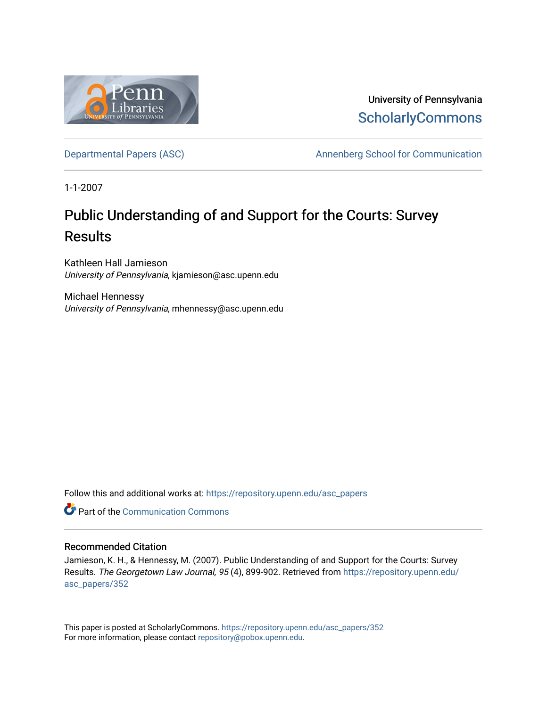

University of Pennsylvania **ScholarlyCommons** 

[Departmental Papers \(ASC\)](https://repository.upenn.edu/asc_papers) and a number of Annenberg School for Communication

1-1-2007

# Public Understanding of and Support for the Courts: Survey **Results**

Kathleen Hall Jamieson University of Pennsylvania, kjamieson@asc.upenn.edu

Michael Hennessy University of Pennsylvania, mhennessy@asc.upenn.edu

Follow this and additional works at: [https://repository.upenn.edu/asc\\_papers](https://repository.upenn.edu/asc_papers?utm_source=repository.upenn.edu%2Fasc_papers%2F352&utm_medium=PDF&utm_campaign=PDFCoverPages)

**C** Part of the Communication Commons

# Recommended Citation

Jamieson, K. H., & Hennessy, M. (2007). Public Understanding of and Support for the Courts: Survey Results. The Georgetown Law Journal, 95 (4), 899-902. Retrieved from [https://repository.upenn.edu/](https://repository.upenn.edu/asc_papers/352?utm_source=repository.upenn.edu%2Fasc_papers%2F352&utm_medium=PDF&utm_campaign=PDFCoverPages) [asc\\_papers/352](https://repository.upenn.edu/asc_papers/352?utm_source=repository.upenn.edu%2Fasc_papers%2F352&utm_medium=PDF&utm_campaign=PDFCoverPages) 

This paper is posted at ScholarlyCommons. [https://repository.upenn.edu/asc\\_papers/352](https://repository.upenn.edu/asc_papers/352)  For more information, please contact [repository@pobox.upenn.edu.](mailto:repository@pobox.upenn.edu)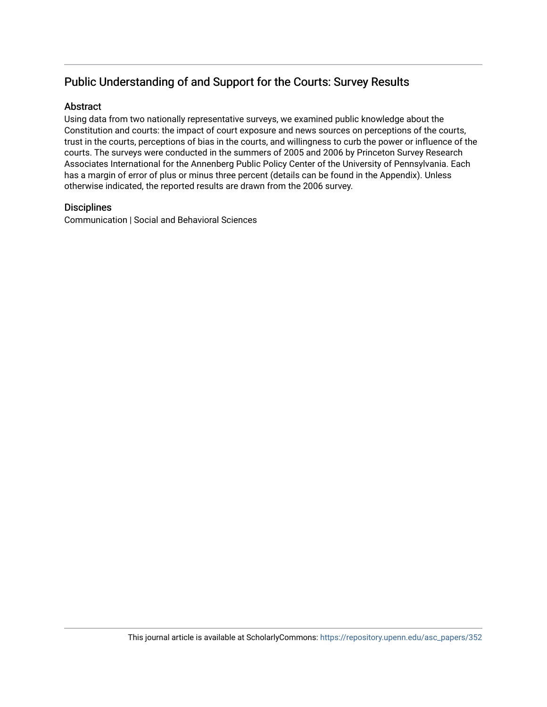# Public Understanding of and Support for the Courts: Survey Results

# **Abstract**

Using data from two nationally representative surveys, we examined public knowledge about the Constitution and courts: the impact of court exposure and news sources on perceptions of the courts, trust in the courts, perceptions of bias in the courts, and willingness to curb the power or influence of the courts. The surveys were conducted in the summers of 2005 and 2006 by Princeton Survey Research Associates International for the Annenberg Public Policy Center of the University of Pennsylvania. Each has a margin of error of plus or minus three percent (details can be found in the Appendix). Unless otherwise indicated, the reported results are drawn from the 2006 survey.

# **Disciplines**

Communication | Social and Behavioral Sciences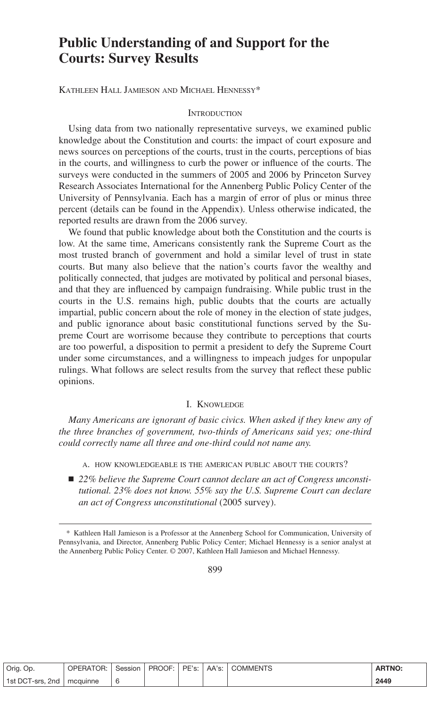# **Public Understanding of and Support for the Courts: Survey Results**

KATHLEEN HALL JAMIESON AND MICHAEL HENNESSY\*

#### **INTRODUCTION**

Using data from two nationally representative surveys, we examined public knowledge about the Constitution and courts: the impact of court exposure and news sources on perceptions of the courts, trust in the courts, perceptions of bias in the courts, and willingness to curb the power or influence of the courts. The surveys were conducted in the summers of 2005 and 2006 by Princeton Survey Research Associates International for the Annenberg Public Policy Center of the University of Pennsylvania. Each has a margin of error of plus or minus three percent (details can be found in the Appendix). Unless otherwise indicated, the reported results are drawn from the 2006 survey.

We found that public knowledge about both the Constitution and the courts is low. At the same time, Americans consistently rank the Supreme Court as the most trusted branch of government and hold a similar level of trust in state courts. But many also believe that the nation's courts favor the wealthy and politically connected, that judges are motivated by political and personal biases, and that they are influenced by campaign fundraising. While public trust in the courts in the U.S. remains high, public doubts that the courts are actually impartial, public concern about the role of money in the election of state judges, and public ignorance about basic constitutional functions served by the Supreme Court are worrisome because they contribute to perceptions that courts are too powerful, a disposition to permit a president to defy the Supreme Court under some circumstances, and a willingness to impeach judges for unpopular rulings. What follows are select results from the survey that reflect these public opinions.

#### I. KNOWLEDGE

*Many Americans are ignorant of basic civics. When asked if they knew any of the three branches of government, two-thirds of Americans said yes; one-third could correctly name all three and one-third could not name any.*

- A. HOW KNOWLEDGEABLE IS THE AMERICAN PUBLIC ABOUT THE COURTS?
- 22% *believe the Supreme Court cannot declare an act of Congress unconstitutional. 23% does not know. 55% say the U.S. Supreme Court can declare an act of Congress unconstitutional* (2005 survey).

899

| Orig. Op.        | OPERATOR: | Session | PROOF: | PE's: | AA's: | <b>COMMENTS</b> | <b>ARTNO:</b> |
|------------------|-----------|---------|--------|-------|-------|-----------------|---------------|
| 1st DCT-srs. 2nd | mcquinne  | 6       |        |       |       |                 | 2449          |

<sup>\*</sup> Kathleen Hall Jamieson is a Professor at the Annenberg School for Communication, University of Pennsylvania, and Director, Annenberg Public Policy Center; Michael Hennessy is a senior analyst at the Annenberg Public Policy Center. © 2007, Kathleen Hall Jamieson and Michael Hennessy.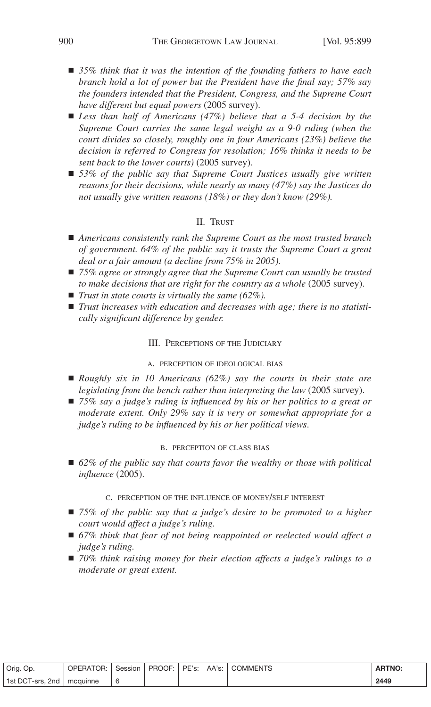- ! *35% think that it was the intention of the founding fathers to have each branch hold a lot of power but the President have the final say; 57% say the founders intended that the President, Congress, and the Supreme Court have different but equal powers* (2005 survey).
- ! *Less than half of Americans (47%) believe that a 5-4 decision by the Supreme Court carries the same legal weight as a 9-0 ruling (when the court divides so closely, roughly one in four Americans (23%) believe the decision is referred to Congress for resolution; 16% thinks it needs to be sent back to the lower courts)* (2005 survey).
- ! *53% of the public say that Supreme Court Justices usually give written reasons for their decisions, while nearly as many (47%) say the Justices do not usually give written reasons (18%) or they don't know (29%).*

# II. TRUST

- ! *Americans consistently rank the Supreme Court as the most trusted branch of government. 64% of the public say it trusts the Supreme Court a great deal or a fair amount (a decline from 75% in 2005).*
- *75%* agree or *strongly* agree *that the Supreme Court can usually be trusted to make decisions that are right for the country as a whole* (2005 survey).
- *Trust in state courts is virtually the same* (62%).
- *Trust increases* with *education* and *decreases* with *age; there is no statisti cally significant difference by gender.*

#### III. PERCEPTIONS OF THE JUDICIARY

#### A. PERCEPTION OF IDEOLOGICAL BIAS

- ! *Roughly six in 10 Americans (62%) say the courts in their state are legislating from the bench rather than interpreting the law* (2005 survey).
- ! *75% say a judge's ruling is influenced by his or her politics to a great or moderate extent. Only 29% say it is very or somewhat appropriate for a judge's ruling to be influenced by his or her political views*.

#### B. PERCEPTION OF CLASS BIAS

■ 62% *of the public say that courts favor the wealthy or those with political influence* (2005).

## C. PERCEPTION OF THE INFLUENCE OF MONEY/SELF INTEREST

- ! *75% of the public say that a judge's desire to be promoted to a higher court would affect a judge's ruling.*
- ! *67% think that fear of not being reappointed or reelected would affect a judge's ruling.*
- ! *70% think raising money for their election affects a judge's rulings to a moderate or great extent.*

| Orig. Op.        | OPERATOR: | Session | PROOF: | PE's: | AA's: I | <b>COMMENTS</b> | <b>ARTNO:</b> |
|------------------|-----------|---------|--------|-------|---------|-----------------|---------------|
| 1st DCT-srs, 2nd | mcauinne  | 6       |        |       |         |                 | 2449          |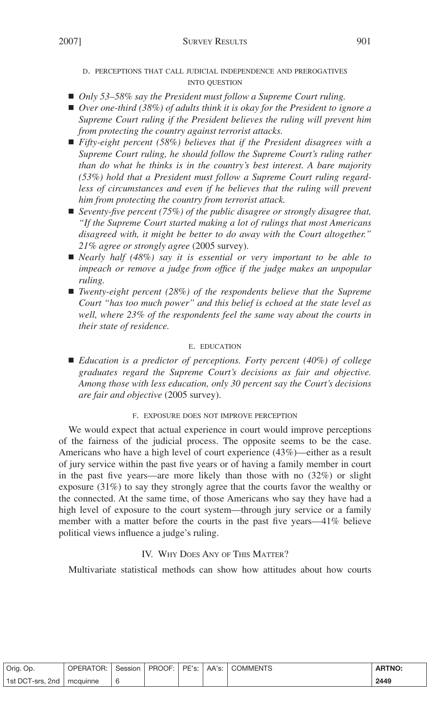- D. PERCEPTIONS THAT CALL JUDICIAL INDEPENDENCE AND PREROGATIVES INTO QUESTION
- *Only* 53–58% *say the President must follow a Supreme Court ruling.*
- ! *Over one-third (38%) of adults think it is okay for the President to ignore a Supreme Court ruling if the President believes the ruling will prevent him from protecting the country against terrorist attacks.*
- ! *Fifty-eight percent (58%) believes that if the President disagrees with a Supreme Court ruling, he should follow the Supreme Court's ruling rather than do what he thinks is in the country's best interest. A bare majority (53%) hold that a President must follow a Supreme Court ruling regardless of circumstances and even if he believes that the ruling will prevent him from protecting the country from terrorist attack.*
- *Seventy-five percent* (75%) of the public disagree or strongly disagree that, *"If the Supreme Court started making a lot of rulings that most Americans disagreed with, it might be better to do away with the Court altogether." 21% agree or strongly agree* (2005 survey).
- ! *Nearly half (48%) say it is essential or very important to be able to impeach or remove a judge from office if the judge makes an unpopular ruling.*
- ! *Twenty-eight percent (28%) of the respondents believe that the Supreme Court "has too much power" and this belief is echoed at the state level as well, where 23% of the respondents feel the same way about the courts in their state of residence.*

## E. EDUCATION

! *Education is a predictor of perceptions. Forty percent (40%) of college graduates regard the Supreme Court's decisions as fair and objective. Among those with less education, only 30 percent say the Court's decisions are fair and objective* (2005 survey).

## F. EXPOSURE DOES NOT IMPROVE PERCEPTION

We would expect that actual experience in court would improve perceptions of the fairness of the judicial process. The opposite seems to be the case. Americans who have a high level of court experience (43%)—either as a result of jury service within the past five years or of having a family member in court in the past five years—are more likely than those with no (32%) or slight exposure (31%) to say they strongly agree that the courts favor the wealthy or the connected. At the same time, of those Americans who say they have had a high level of exposure to the court system—through jury service or a family member with a matter before the courts in the past five years—41% believe political views influence a judge's ruling.

# IV. WHY DOES ANY OF THIS MATTER?

Multivariate statistical methods can show how attitudes about how courts

| Orig. Op.        | <b>OPERATOR:</b> | Session | PROOF: | PE's: | AA's: | <b>COMMENTS</b> | <b>ARTNO:</b> |
|------------------|------------------|---------|--------|-------|-------|-----------------|---------------|
| 1st DCT-srs. 2nd | mcquinne         | L       |        |       |       |                 | 2449          |